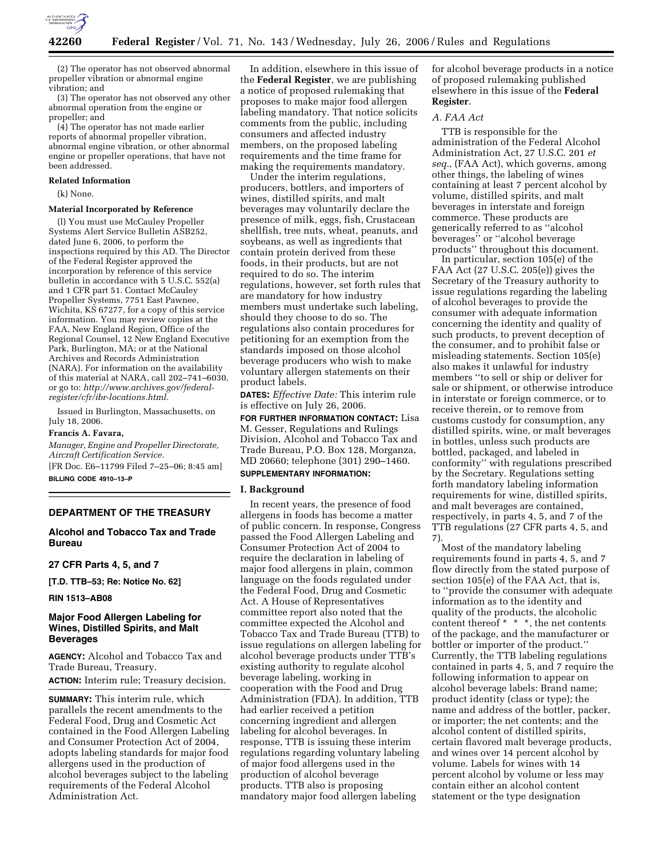

(2) The operator has not observed abnormal propeller vibration or abnormal engine vibration; and

(3) The operator has not observed any other abnormal operation from the engine or propeller; and

(4) The operator has not made earlier reports of abnormal propeller vibration, abnormal engine vibration, or other abnormal engine or propeller operations, that have not been addressed.

#### **Related Information**

(k) None.

### **Material Incorporated by Reference**

(l) You must use McCauley Propeller Systems Alert Service Bulletin ASB252, dated June 6, 2006, to perform the inspections required by this AD. The Director of the Federal Register approved the incorporation by reference of this service bulletin in accordance with 5 U.S.C. 552(a) and 1 CFR part 51. Contact McCauley Propeller Systems, 7751 East Pawnee, Wichita, KS 67277, for a copy of this service information. You may review copies at the FAA, New England Region, Office of the Regional Counsel, 12 New England Executive Park, Burlington, MA; or at the National Archives and Records Administration (NARA). For information on the availability of this material at NARA, call 202–741–6030, or go to: *http://www.archives.gov/federalregister/cfr/ibr-locations.html.* 

Issued in Burlington, Massachusetts, on July 18, 2006.

#### **Francis A. Favara,**

*Manager, Engine and Propeller Directorate, Aircraft Certification Service.* 

[FR Doc. E6–11799 Filed 7–25–06; 8:45 am] **BILLING CODE 4910–13–P** 

### **DEPARTMENT OF THE TREASURY**

## **Alcohol and Tobacco Tax and Trade Bureau**

**27 CFR Parts 4, 5, and 7** 

**[T.D. TTB–53; Re: Notice No. 62]** 

#### **RIN 1513–AB08**

## **Major Food Allergen Labeling for Wines, Distilled Spirits, and Malt Beverages**

**AGENCY:** Alcohol and Tobacco Tax and Trade Bureau, Treasury. **ACTION:** Interim rule; Treasury decision.

**SUMMARY:** This interim rule, which parallels the recent amendments to the Federal Food, Drug and Cosmetic Act contained in the Food Allergen Labeling and Consumer Protection Act of 2004, adopts labeling standards for major food allergens used in the production of alcohol beverages subject to the labeling requirements of the Federal Alcohol Administration Act.

In addition, elsewhere in this issue of the **Federal Register**, we are publishing a notice of proposed rulemaking that proposes to make major food allergen labeling mandatory. That notice solicits comments from the public, including consumers and affected industry members, on the proposed labeling requirements and the time frame for making the requirements mandatory.

Under the interim regulations, producers, bottlers, and importers of wines, distilled spirits, and malt beverages may voluntarily declare the presence of milk, eggs, fish, Crustacean shellfish, tree nuts, wheat, peanuts, and soybeans, as well as ingredients that contain protein derived from these foods, in their products, but are not required to do so. The interim regulations, however, set forth rules that are mandatory for how industry members must undertake such labeling, should they choose to do so. The regulations also contain procedures for petitioning for an exemption from the standards imposed on those alcohol beverage producers who wish to make voluntary allergen statements on their product labels.

**DATES:** *Effective Date:* This interim rule is effective on July 26, 2006.

**FOR FURTHER INFORMATION CONTACT:** Lisa M. Gesser, Regulations and Rulings Division, Alcohol and Tobacco Tax and Trade Bureau, P.O. Box 128, Morganza, MD 20660; telephone (301) 290–1460.

### **SUPPLEMENTARY INFORMATION:**

#### **I. Background**

In recent years, the presence of food allergens in foods has become a matter of public concern. In response, Congress passed the Food Allergen Labeling and Consumer Protection Act of 2004 to require the declaration in labeling of major food allergens in plain, common language on the foods regulated under the Federal Food, Drug and Cosmetic Act. A House of Representatives committee report also noted that the committee expected the Alcohol and Tobacco Tax and Trade Bureau (TTB) to issue regulations on allergen labeling for alcohol beverage products under TTB's existing authority to regulate alcohol beverage labeling, working in cooperation with the Food and Drug Administration (FDA). In addition, TTB had earlier received a petition concerning ingredient and allergen labeling for alcohol beverages. In response, TTB is issuing these interim regulations regarding voluntary labeling of major food allergens used in the production of alcohol beverage products. TTB also is proposing mandatory major food allergen labeling

for alcohol beverage products in a notice of proposed rulemaking published elsewhere in this issue of the **Federal Register**.

### *A. FAA Act*

TTB is responsible for the administration of the Federal Alcohol Administration Act, 27 U.S.C. 201 *et seq.*, (FAA Act), which governs, among other things, the labeling of wines containing at least 7 percent alcohol by volume, distilled spirits, and malt beverages in interstate and foreign commerce. These products are generically referred to as ''alcohol beverages'' or ''alcohol beverage products'' throughout this document.

In particular, section 105(e) of the FAA Act (27 U.S.C. 205(e)) gives the Secretary of the Treasury authority to issue regulations regarding the labeling of alcohol beverages to provide the consumer with adequate information concerning the identity and quality of such products, to prevent deception of the consumer, and to prohibit false or misleading statements. Section 105(e) also makes it unlawful for industry members ''to sell or ship or deliver for sale or shipment, or otherwise introduce in interstate or foreign commerce, or to receive therein, or to remove from customs custody for consumption, any distilled spirits, wine, or malt beverages in bottles, unless such products are bottled, packaged, and labeled in conformity'' with regulations prescribed by the Secretary. Regulations setting forth mandatory labeling information requirements for wine, distilled spirits, and malt beverages are contained, respectively, in parts 4, 5, and 7 of the TTB regulations (27 CFR parts 4, 5, and 7).

Most of the mandatory labeling requirements found in parts 4, 5, and 7 flow directly from the stated purpose of section 105(e) of the FAA Act, that is, to ''provide the consumer with adequate information as to the identity and quality of the products, the alcoholic content thereof \* \* \*, the net contents of the package, and the manufacturer or bottler or importer of the product.'' Currently, the TTB labeling regulations contained in parts 4, 5, and 7 require the following information to appear on alcohol beverage labels: Brand name; product identity (class or type); the name and address of the bottler, packer, or importer; the net contents; and the alcohol content of distilled spirits, certain flavored malt beverage products, and wines over 14 percent alcohol by volume. Labels for wines with 14 percent alcohol by volume or less may contain either an alcohol content statement or the type designation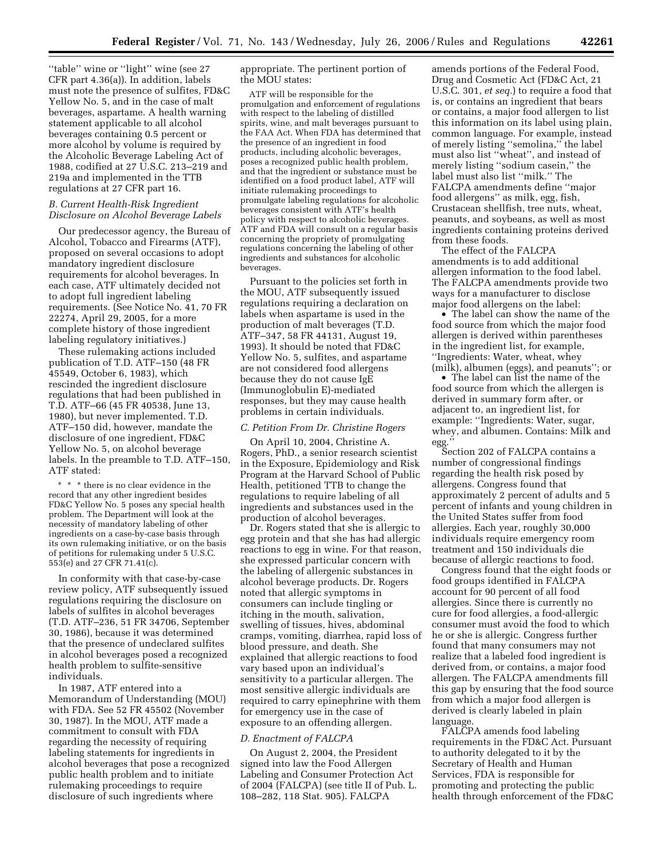''table'' wine or ''light'' wine (see 27 CFR part 4.36(a)). In addition, labels must note the presence of sulfites, FD&C Yellow No. 5, and in the case of malt beverages, aspartame. A health warning statement applicable to all alcohol beverages containing 0.5 percent or more alcohol by volume is required by the Alcoholic Beverage Labeling Act of 1988, codified at 27 U.S.C. 213–219 and 219a and implemented in the TTB regulations at 27 CFR part 16.

### *B. Current Health-Risk Ingredient Disclosure on Alcohol Beverage Labels*

Our predecessor agency, the Bureau of Alcohol, Tobacco and Firearms (ATF), proposed on several occasions to adopt mandatory ingredient disclosure requirements for alcohol beverages. In each case, ATF ultimately decided not to adopt full ingredient labeling requirements. (See Notice No. 41, 70 FR 22274, April 29, 2005, for a more complete history of those ingredient labeling regulatory initiatives.)

These rulemaking actions included publication of T.D. ATF–150 (48 FR 45549, October 6, 1983), which rescinded the ingredient disclosure regulations that had been published in T.D. ATF–66 (45 FR 40538, June 13, 1980), but never implemented. T.D. ATF–150 did, however, mandate the disclosure of one ingredient, FD&C Yellow No. 5, on alcohol beverage labels. In the preamble to T.D. ATF–150, ATF stated:

\* \* \* there is no clear evidence in the record that any other ingredient besides FD&C Yellow No. 5 poses any special health problem. The Department will look at the necessity of mandatory labeling of other ingredients on a case-by-case basis through its own rulemaking initiative, or on the basis of petitions for rulemaking under 5 U.S.C. 553(e) and 27 CFR 71.41(c).

In conformity with that case-by-case review policy, ATF subsequently issued regulations requiring the disclosure on labels of sulfites in alcohol beverages (T.D. ATF–236, 51 FR 34706, September 30, 1986), because it was determined that the presence of undeclared sulfites in alcohol beverages posed a recognized health problem to sulfite-sensitive individuals.

In 1987, ATF entered into a Memorandum of Understanding (MOU) with FDA. See 52 FR 45502 (November 30, 1987). In the MOU, ATF made a commitment to consult with FDA regarding the necessity of requiring labeling statements for ingredients in alcohol beverages that pose a recognized public health problem and to initiate rulemaking proceedings to require disclosure of such ingredients where

appropriate. The pertinent portion of the MOU states:

ATF will be responsible for the promulgation and enforcement of regulations with respect to the labeling of distilled spirits, wine, and malt beverages pursuant to the FAA Act. When FDA has determined that the presence of an ingredient in food products, including alcoholic beverages, poses a recognized public health problem, and that the ingredient or substance must be identified on a food product label, ATF will initiate rulemaking proceedings to promulgate labeling regulations for alcoholic beverages consistent with ATF's health policy with respect to alcoholic beverages. ATF and FDA will consult on a regular basis concerning the propriety of promulgating regulations concerning the labeling of other ingredients and substances for alcoholic beverages.

Pursuant to the policies set forth in the MOU, ATF subsequently issued regulations requiring a declaration on labels when aspartame is used in the production of malt beverages (T.D. ATF–347, 58 FR 44131, August 19, 1993). It should be noted that FD&C Yellow No. 5, sulfites, and aspartame are not considered food allergens because they do not cause IgE (Immunoglobulin E)-mediated responses, but they may cause health problems in certain individuals.

## *C. Petition From Dr. Christine Rogers*

On April 10, 2004, Christine A. Rogers, PhD., a senior research scientist in the Exposure, Epidemiology and Risk Program at the Harvard School of Public Health, petitioned TTB to change the regulations to require labeling of all ingredients and substances used in the production of alcohol beverages.

Dr. Rogers stated that she is allergic to egg protein and that she has had allergic reactions to egg in wine. For that reason, she expressed particular concern with the labeling of allergenic substances in alcohol beverage products. Dr. Rogers noted that allergic symptoms in consumers can include tingling or itching in the mouth, salivation, swelling of tissues, hives, abdominal cramps, vomiting, diarrhea, rapid loss of blood pressure, and death. She explained that allergic reactions to food vary based upon an individual's sensitivity to a particular allergen. The most sensitive allergic individuals are required to carry epinephrine with them for emergency use in the case of exposure to an offending allergen.

#### *D. Enactment of FALCPA*

On August 2, 2004, the President signed into law the Food Allergen Labeling and Consumer Protection Act of 2004 (FALCPA) (see title II of Pub. L. 108–282, 118 Stat. 905). FALCPA

amends portions of the Federal Food, Drug and Cosmetic Act (FD&C Act, 21 U.S.C. 301, *et seq.*) to require a food that is, or contains an ingredient that bears or contains, a major food allergen to list this information on its label using plain, common language. For example, instead of merely listing ''semolina,'' the label must also list ''wheat'', and instead of merely listing ''sodium casein,'' the label must also list ''milk.'' The FALCPA amendments define ''major food allergens'' as milk, egg, fish, Crustacean shellfish, tree nuts, wheat, peanuts, and soybeans, as well as most ingredients containing proteins derived from these foods.

The effect of the FALCPA amendments is to add additional allergen information to the food label. The FALCPA amendments provide two ways for a manufacturer to disclose major food allergens on the label:

• The label can show the name of the food source from which the major food allergen is derived within parentheses in the ingredient list, for example, ''Ingredients: Water, wheat, whey (milk), albumen (eggs), and peanuts''; or

• The label can list the name of the food source from which the allergen is derived in summary form after, or adjacent to, an ingredient list, for example: ''Ingredients: Water, sugar, whey, and albumen. Contains: Milk and egg.''

Section 202 of FALCPA contains a number of congressional findings regarding the health risk posed by allergens. Congress found that approximately 2 percent of adults and 5 percent of infants and young children in the United States suffer from food allergies. Each year, roughly 30,000 individuals require emergency room treatment and 150 individuals die because of allergic reactions to food.

Congress found that the eight foods or food groups identified in FALCPA account for 90 percent of all food allergies. Since there is currently no cure for food allergies, a food-allergic consumer must avoid the food to which he or she is allergic. Congress further found that many consumers may not realize that a labeled food ingredient is derived from, or contains, a major food allergen. The FALCPA amendments fill this gap by ensuring that the food source from which a major food allergen is derived is clearly labeled in plain language.

FALCPA amends food labeling requirements in the FD&C Act. Pursuant to authority delegated to it by the Secretary of Health and Human Services, FDA is responsible for promoting and protecting the public health through enforcement of the FD&C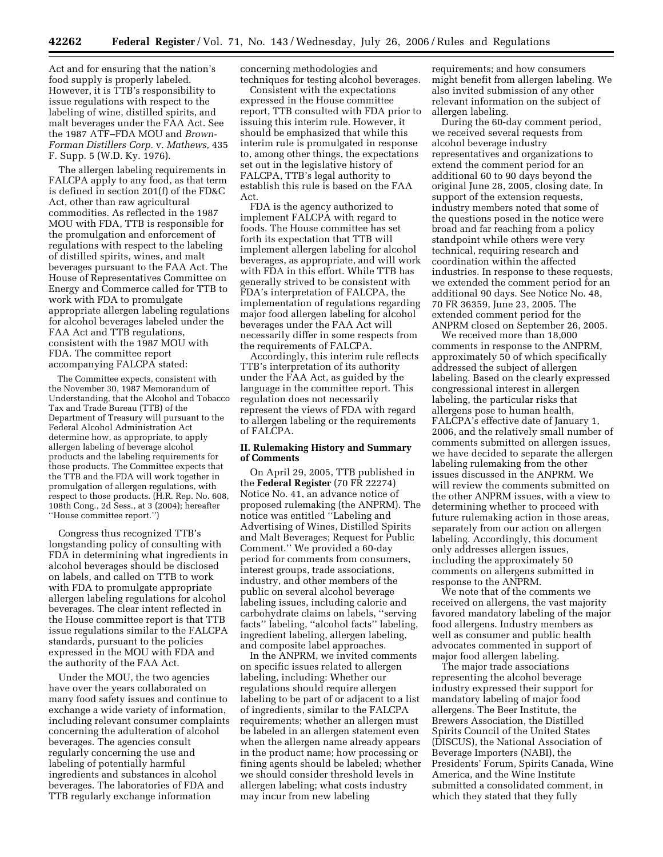Act and for ensuring that the nation's food supply is properly labeled. However, it is TTB's responsibility to issue regulations with respect to the labeling of wine, distilled spirits, and malt beverages under the FAA Act. See the 1987 ATF–FDA MOU and *Brown-Forman Distillers Corp.* v. *Mathews,* 435 F. Supp. 5 (W.D. Ky. 1976).

The allergen labeling requirements in FALCPA apply to any food, as that term is defined in section 201(f) of the FD&C Act, other than raw agricultural commodities. As reflected in the 1987 MOU with FDA, TTB is responsible for the promulgation and enforcement of regulations with respect to the labeling of distilled spirits, wines, and malt beverages pursuant to the FAA Act. The House of Representatives Committee on Energy and Commerce called for TTB to work with FDA to promulgate appropriate allergen labeling regulations for alcohol beverages labeled under the FAA Act and TTB regulations, consistent with the 1987 MOU with FDA. The committee report accompanying FALCPA stated:

The Committee expects, consistent with the November 30, 1987 Memorandum of Understanding, that the Alcohol and Tobacco Tax and Trade Bureau (TTB) of the Department of Treasury will pursuant to the Federal Alcohol Administration Act determine how, as appropriate, to apply allergen labeling of beverage alcohol products and the labeling requirements for those products. The Committee expects that the TTB and the FDA will work together in promulgation of allergen regulations, with respect to those products. (H.R. Rep. No. 608, 108th Cong., 2d Sess., at 3 (2004); hereafter ''House committee report.'')

Congress thus recognized TTB's longstanding policy of consulting with FDA in determining what ingredients in alcohol beverages should be disclosed on labels, and called on TTB to work with FDA to promulgate appropriate allergen labeling regulations for alcohol beverages. The clear intent reflected in the House committee report is that TTB issue regulations similar to the FALCPA standards, pursuant to the policies expressed in the MOU with FDA and the authority of the FAA Act.

Under the MOU, the two agencies have over the years collaborated on many food safety issues and continue to exchange a wide variety of information, including relevant consumer complaints concerning the adulteration of alcohol beverages. The agencies consult regularly concerning the use and labeling of potentially harmful ingredients and substances in alcohol beverages. The laboratories of FDA and TTB regularly exchange information

concerning methodologies and techniques for testing alcohol beverages.

Consistent with the expectations expressed in the House committee report, TTB consulted with FDA prior to issuing this interim rule. However, it should be emphasized that while this interim rule is promulgated in response to, among other things, the expectations set out in the legislative history of FALCPA, TTB's legal authority to establish this rule is based on the FAA Act.

FDA is the agency authorized to implement FALCPA with regard to foods. The House committee has set forth its expectation that TTB will implement allergen labeling for alcohol beverages, as appropriate, and will work with FDA in this effort. While TTB has generally strived to be consistent with FDA's interpretation of FALCPA, the implementation of regulations regarding major food allergen labeling for alcohol beverages under the FAA Act will necessarily differ in some respects from the requirements of FALCPA.

Accordingly, this interim rule reflects TTB's interpretation of its authority under the FAA Act, as guided by the language in the committee report. This regulation does not necessarily represent the views of FDA with regard to allergen labeling or the requirements of FALCPA.

### **II. Rulemaking History and Summary of Comments**

On April 29, 2005, TTB published in the **Federal Register** (70 FR 22274) Notice No. 41, an advance notice of proposed rulemaking (the ANPRM). The notice was entitled ''Labeling and Advertising of Wines, Distilled Spirits and Malt Beverages; Request for Public Comment.'' We provided a 60-day period for comments from consumers, interest groups, trade associations, industry, and other members of the public on several alcohol beverage labeling issues, including calorie and carbohydrate claims on labels, ''serving facts'' labeling, ''alcohol facts'' labeling, ingredient labeling, allergen labeling, and composite label approaches.

In the ANPRM, we invited comments on specific issues related to allergen labeling, including: Whether our regulations should require allergen labeling to be part of or adjacent to a list of ingredients, similar to the FALCPA requirements; whether an allergen must be labeled in an allergen statement even when the allergen name already appears in the product name; how processing or fining agents should be labeled; whether we should consider threshold levels in allergen labeling; what costs industry may incur from new labeling

requirements; and how consumers might benefit from allergen labeling. We also invited submission of any other relevant information on the subject of allergen labeling.

During the 60-day comment period, we received several requests from alcohol beverage industry representatives and organizations to extend the comment period for an additional 60 to 90 days beyond the original June 28, 2005, closing date. In support of the extension requests, industry members noted that some of the questions posed in the notice were broad and far reaching from a policy standpoint while others were very technical, requiring research and coordination within the affected industries. In response to these requests, we extended the comment period for an additional 90 days. See Notice No. 48, 70 FR 36359, June 23, 2005. The extended comment period for the ANPRM closed on September 26, 2005.

We received more than 18,000 comments in response to the ANPRM, approximately 50 of which specifically addressed the subject of allergen labeling. Based on the clearly expressed congressional interest in allergen labeling, the particular risks that allergens pose to human health, FALCPA's effective date of January 1, 2006, and the relatively small number of comments submitted on allergen issues, we have decided to separate the allergen labeling rulemaking from the other issues discussed in the ANPRM. We will review the comments submitted on the other ANPRM issues, with a view to determining whether to proceed with future rulemaking action in those areas, separately from our action on allergen labeling. Accordingly, this document only addresses allergen issues, including the approximately 50 comments on allergens submitted in response to the ANPRM.

We note that of the comments we received on allergens, the vast majority favored mandatory labeling of the major food allergens. Industry members as well as consumer and public health advocates commented in support of major food allergen labeling.

The major trade associations representing the alcohol beverage industry expressed their support for mandatory labeling of major food allergens. The Beer Institute, the Brewers Association, the Distilled Spirits Council of the United States (DISCUS), the National Association of Beverage Importers (NABI), the Presidents' Forum, Spirits Canada, Wine America, and the Wine Institute submitted a consolidated comment, in which they stated that they fully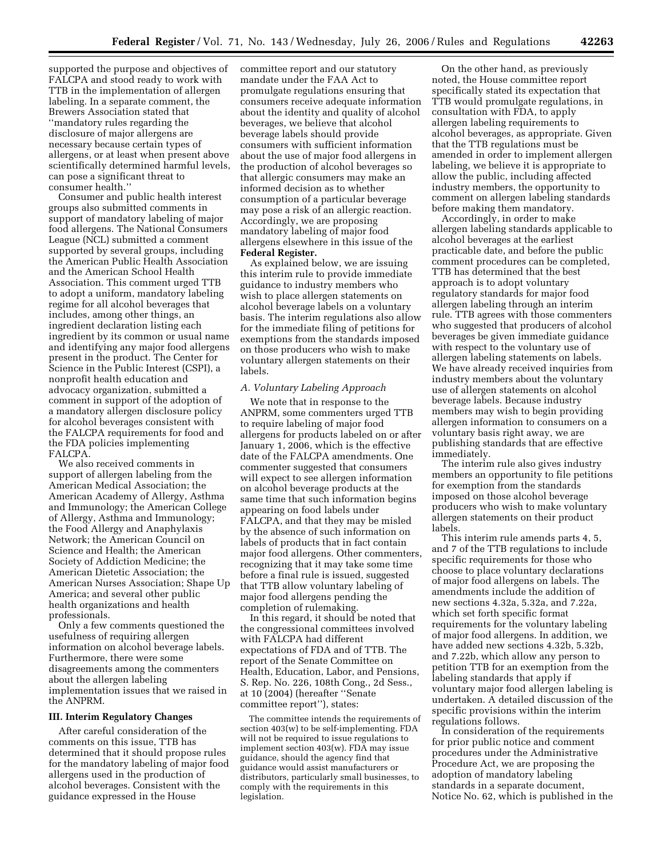supported the purpose and objectives of FALCPA and stood ready to work with TTB in the implementation of allergen labeling. In a separate comment, the Brewers Association stated that ''mandatory rules regarding the disclosure of major allergens are necessary because certain types of allergens, or at least when present above scientifically determined harmful levels, can pose a significant threat to consumer health.''

Consumer and public health interest groups also submitted comments in support of mandatory labeling of major food allergens. The National Consumers League (NCL) submitted a comment supported by several groups, including the American Public Health Association and the American School Health Association. This comment urged TTB to adopt a uniform, mandatory labeling regime for all alcohol beverages that includes, among other things, an ingredient declaration listing each ingredient by its common or usual name and identifying any major food allergens present in the product. The Center for Science in the Public Interest (CSPI), a nonprofit health education and advocacy organization, submitted a comment in support of the adoption of a mandatory allergen disclosure policy for alcohol beverages consistent with the FALCPA requirements for food and the FDA policies implementing FALCPA.

We also received comments in support of allergen labeling from the American Medical Association; the American Academy of Allergy, Asthma and Immunology; the American College of Allergy, Asthma and Immunology; the Food Allergy and Anaphylaxis Network; the American Council on Science and Health; the American Society of Addiction Medicine; the American Dietetic Association; the American Nurses Association; Shape Up America; and several other public health organizations and health professionals.

Only a few comments questioned the usefulness of requiring allergen information on alcohol beverage labels. Furthermore, there were some disagreements among the commenters about the allergen labeling implementation issues that we raised in the ANPRM.

#### **III. Interim Regulatory Changes**

After careful consideration of the comments on this issue, TTB has determined that it should propose rules for the mandatory labeling of major food allergens used in the production of alcohol beverages. Consistent with the guidance expressed in the House

committee report and our statutory mandate under the FAA Act to promulgate regulations ensuring that consumers receive adequate information about the identity and quality of alcohol beverages, we believe that alcohol beverage labels should provide consumers with sufficient information about the use of major food allergens in the production of alcohol beverages so that allergic consumers may make an informed decision as to whether consumption of a particular beverage may pose a risk of an allergic reaction. Accordingly, we are proposing mandatory labeling of major food allergens elsewhere in this issue of the **Federal Register.** 

As explained below, we are issuing this interim rule to provide immediate guidance to industry members who wish to place allergen statements on alcohol beverage labels on a voluntary basis. The interim regulations also allow for the immediate filing of petitions for exemptions from the standards imposed on those producers who wish to make voluntary allergen statements on their labels.

### *A. Voluntary Labeling Approach*

We note that in response to the ANPRM, some commenters urged TTB to require labeling of major food allergens for products labeled on or after January 1, 2006, which is the effective date of the FALCPA amendments. One commenter suggested that consumers will expect to see allergen information on alcohol beverage products at the same time that such information begins appearing on food labels under FALCPA, and that they may be misled by the absence of such information on labels of products that in fact contain major food allergens. Other commenters, recognizing that it may take some time before a final rule is issued, suggested that TTB allow voluntary labeling of major food allergens pending the completion of rulemaking.

In this regard, it should be noted that the congressional committees involved with FALCPA had different expectations of FDA and of TTB. The report of the Senate Committee on Health, Education, Labor, and Pensions, S. Rep. No. 226, 108th Cong., 2d Sess., at 10 (2004) (hereafter ''Senate committee report''), states:

The committee intends the requirements of section 403(w) to be self-implementing. FDA will not be required to issue regulations to implement section 403(w). FDA may issue guidance, should the agency find that guidance would assist manufacturers or distributors, particularly small businesses, to comply with the requirements in this legislation.

On the other hand, as previously noted, the House committee report specifically stated its expectation that TTB would promulgate regulations, in consultation with FDA, to apply allergen labeling requirements to alcohol beverages, as appropriate. Given that the TTB regulations must be amended in order to implement allergen labeling, we believe it is appropriate to allow the public, including affected industry members, the opportunity to comment on allergen labeling standards before making them mandatory.

Accordingly, in order to make allergen labeling standards applicable to alcohol beverages at the earliest practicable date, and before the public comment procedures can be completed, TTB has determined that the best approach is to adopt voluntary regulatory standards for major food allergen labeling through an interim rule. TTB agrees with those commenters who suggested that producers of alcohol beverages be given immediate guidance with respect to the voluntary use of allergen labeling statements on labels. We have already received inquiries from industry members about the voluntary use of allergen statements on alcohol beverage labels. Because industry members may wish to begin providing allergen information to consumers on a voluntary basis right away, we are publishing standards that are effective immediately.

The interim rule also gives industry members an opportunity to file petitions for exemption from the standards imposed on those alcohol beverage producers who wish to make voluntary allergen statements on their product labels.

This interim rule amends parts 4, 5, and 7 of the TTB regulations to include specific requirements for those who choose to place voluntary declarations of major food allergens on labels. The amendments include the addition of new sections 4.32a, 5.32a, and 7.22a, which set forth specific format requirements for the voluntary labeling of major food allergens. In addition, we have added new sections 4.32b, 5.32b, and 7.22b, which allow any person to petition TTB for an exemption from the labeling standards that apply if voluntary major food allergen labeling is undertaken. A detailed discussion of the specific provisions within the interim regulations follows.

In consideration of the requirements for prior public notice and comment procedures under the Administrative Procedure Act, we are proposing the adoption of mandatory labeling standards in a separate document, Notice No. 62, which is published in the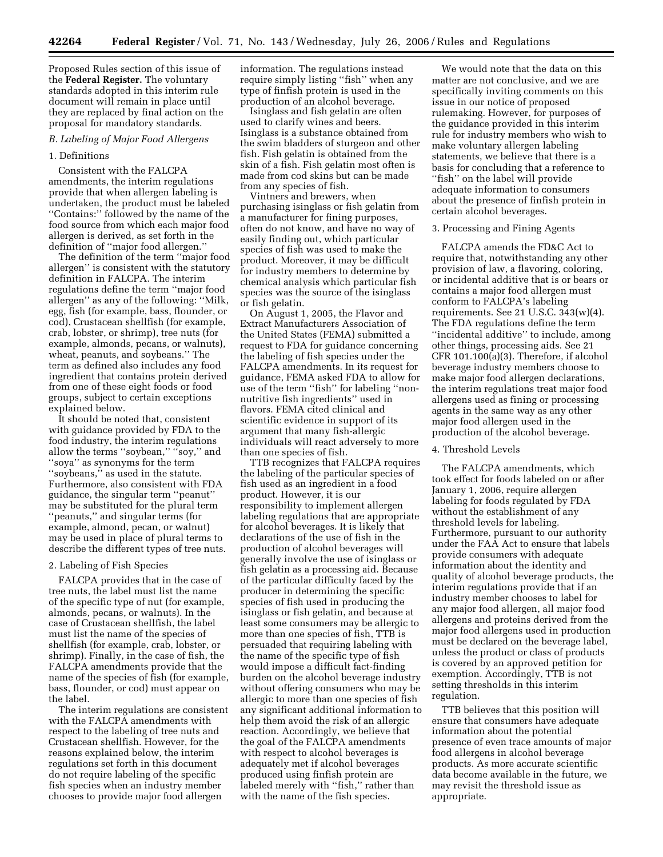Proposed Rules section of this issue of the **Federal Register.** The voluntary standards adopted in this interim rule document will remain in place until they are replaced by final action on the proposal for mandatory standards.

#### *B. Labeling of Major Food Allergens*

#### 1. Definitions

Consistent with the FALCPA amendments, the interim regulations provide that when allergen labeling is undertaken, the product must be labeled ''Contains:'' followed by the name of the food source from which each major food allergen is derived, as set forth in the definition of ''major food allergen.''

The definition of the term ''major food allergen'' is consistent with the statutory definition in FALCPA. The interim regulations define the term ''major food allergen'' as any of the following: ''Milk, egg, fish (for example, bass, flounder, or cod), Crustacean shellfish (for example, crab, lobster, or shrimp), tree nuts (for example, almonds, pecans, or walnuts), wheat, peanuts, and soybeans.'' The term as defined also includes any food ingredient that contains protein derived from one of these eight foods or food groups, subject to certain exceptions explained below.

It should be noted that, consistent with guidance provided by FDA to the food industry, the interim regulations allow the terms "soybean," "soy," and ''soya'' as synonyms for the term ''soybeans,'' as used in the statute. Furthermore, also consistent with FDA guidance, the singular term ''peanut'' may be substituted for the plural term ''peanuts,'' and singular terms (for example, almond, pecan, or walnut) may be used in place of plural terms to describe the different types of tree nuts.

### 2. Labeling of Fish Species

FALCPA provides that in the case of tree nuts, the label must list the name of the specific type of nut (for example, almonds, pecans, or walnuts). In the case of Crustacean shellfish, the label must list the name of the species of shellfish (for example, crab, lobster, or shrimp). Finally, in the case of fish, the FALCPA amendments provide that the name of the species of fish (for example, bass, flounder, or cod) must appear on the label.

The interim regulations are consistent with the FALCPA amendments with respect to the labeling of tree nuts and Crustacean shellfish. However, for the reasons explained below, the interim regulations set forth in this document do not require labeling of the specific fish species when an industry member chooses to provide major food allergen

information. The regulations instead require simply listing "fish" when any type of finfish protein is used in the production of an alcohol beverage.

Isinglass and fish gelatin are often used to clarify wines and beers. Isinglass is a substance obtained from the swim bladders of sturgeon and other fish. Fish gelatin is obtained from the skin of a fish. Fish gelatin most often is made from cod skins but can be made from any species of fish.

Vintners and brewers, when purchasing isinglass or fish gelatin from a manufacturer for fining purposes, often do not know, and have no way of easily finding out, which particular species of fish was used to make the product. Moreover, it may be difficult for industry members to determine by chemical analysis which particular fish species was the source of the isinglass or fish gelatin.

On August 1, 2005, the Flavor and Extract Manufacturers Association of the United States (FEMA) submitted a request to FDA for guidance concerning the labeling of fish species under the FALCPA amendments. In its request for guidance, FEMA asked FDA to allow for use of the term ''fish'' for labeling ''nonnutritive fish ingredients'' used in flavors. FEMA cited clinical and scientific evidence in support of its argument that many fish-allergic individuals will react adversely to more than one species of fish.

TTB recognizes that FALCPA requires the labeling of the particular species of fish used as an ingredient in a food product. However, it is our responsibility to implement allergen labeling regulations that are appropriate for alcohol beverages. It is likely that declarations of the use of fish in the production of alcohol beverages will generally involve the use of isinglass or fish gelatin as a processing aid. Because of the particular difficulty faced by the producer in determining the specific species of fish used in producing the isinglass or fish gelatin, and because at least some consumers may be allergic to more than one species of fish, TTB is persuaded that requiring labeling with the name of the specific type of fish would impose a difficult fact-finding burden on the alcohol beverage industry without offering consumers who may be allergic to more than one species of fish any significant additional information to help them avoid the risk of an allergic reaction. Accordingly, we believe that the goal of the FALCPA amendments with respect to alcohol beverages is adequately met if alcohol beverages produced using finfish protein are labeled merely with ''fish,'' rather than with the name of the fish species.

We would note that the data on this matter are not conclusive, and we are specifically inviting comments on this issue in our notice of proposed rulemaking. However, for purposes of the guidance provided in this interim rule for industry members who wish to make voluntary allergen labeling statements, we believe that there is a basis for concluding that a reference to ''fish'' on the label will provide adequate information to consumers about the presence of finfish protein in certain alcohol beverages.

### 3. Processing and Fining Agents

FALCPA amends the FD&C Act to require that, notwithstanding any other provision of law, a flavoring, coloring, or incidental additive that is or bears or contains a major food allergen must conform to FALCPA's labeling requirements. See 21 U.S.C. 343(w)(4). The FDA regulations define the term ''incidental additive'' to include, among other things, processing aids. See 21 CFR 101.100(a)(3). Therefore, if alcohol beverage industry members choose to make major food allergen declarations, the interim regulations treat major food allergens used as fining or processing agents in the same way as any other major food allergen used in the production of the alcohol beverage.

## 4. Threshold Levels

The FALCPA amendments, which took effect for foods labeled on or after January 1, 2006, require allergen labeling for foods regulated by FDA without the establishment of any threshold levels for labeling. Furthermore, pursuant to our authority under the FAA Act to ensure that labels provide consumers with adequate information about the identity and quality of alcohol beverage products, the interim regulations provide that if an industry member chooses to label for any major food allergen, all major food allergens and proteins derived from the major food allergens used in production must be declared on the beverage label, unless the product or class of products is covered by an approved petition for exemption. Accordingly, TTB is not setting thresholds in this interim regulation.

TTB believes that this position will ensure that consumers have adequate information about the potential presence of even trace amounts of major food allergens in alcohol beverage products. As more accurate scientific data become available in the future, we may revisit the threshold issue as appropriate.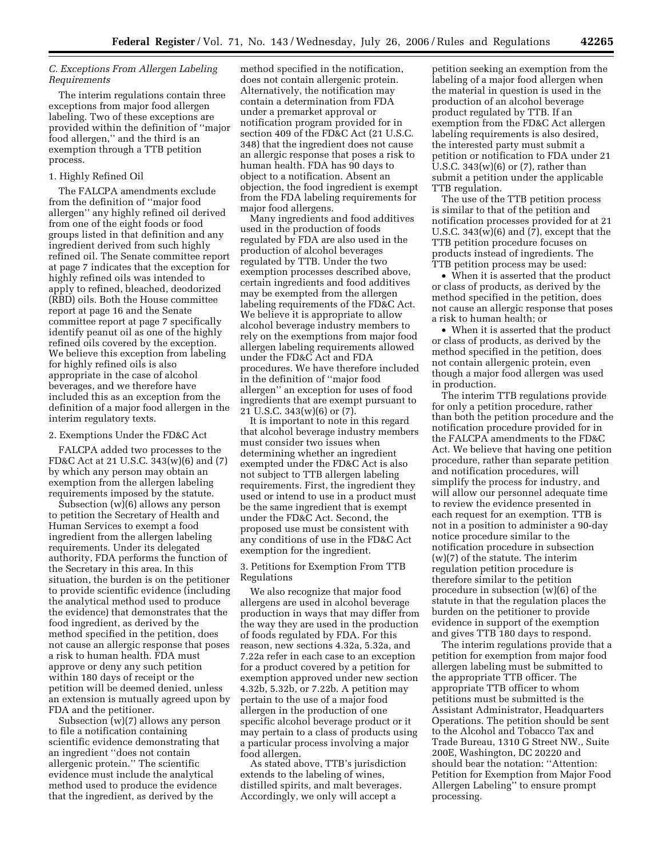## *C. Exceptions From Allergen Labeling Requirements*

The interim regulations contain three exceptions from major food allergen labeling. Two of these exceptions are provided within the definition of ''major food allergen,'' and the third is an exemption through a TTB petition process.

### 1. Highly Refined Oil

The FALCPA amendments exclude from the definition of ''major food allergen'' any highly refined oil derived from one of the eight foods or food groups listed in that definition and any ingredient derived from such highly refined oil. The Senate committee report at page 7 indicates that the exception for highly refined oils was intended to apply to refined, bleached, deodorized (RBD) oils. Both the House committee report at page 16 and the Senate committee report at page 7 specifically identify peanut oil as one of the highly refined oils covered by the exception. We believe this exception from labeling for highly refined oils is also appropriate in the case of alcohol beverages, and we therefore have included this as an exception from the definition of a major food allergen in the interim regulatory texts.

# 2. Exemptions Under the FD&C Act

FALCPA added two processes to the FD&C Act at 21 U.S.C. 343(w)(6) and (7) by which any person may obtain an exemption from the allergen labeling requirements imposed by the statute.

Subsection (w)(6) allows any person to petition the Secretary of Health and Human Services to exempt a food ingredient from the allergen labeling requirements. Under its delegated authority, FDA performs the function of the Secretary in this area. In this situation, the burden is on the petitioner to provide scientific evidence (including the analytical method used to produce the evidence) that demonstrates that the food ingredient, as derived by the method specified in the petition, does not cause an allergic response that poses a risk to human health. FDA must approve or deny any such petition within 180 days of receipt or the petition will be deemed denied, unless an extension is mutually agreed upon by FDA and the petitioner.

Subsection (w)(7) allows any person to file a notification containing scientific evidence demonstrating that an ingredient ''does not contain allergenic protein.'' The scientific evidence must include the analytical method used to produce the evidence that the ingredient, as derived by the

method specified in the notification, does not contain allergenic protein. Alternatively, the notification may contain a determination from FDA under a premarket approval or notification program provided for in section 409 of the FD&C Act (21 U.S.C. 348) that the ingredient does not cause an allergic response that poses a risk to human health. FDA has 90 days to object to a notification. Absent an objection, the food ingredient is exempt from the FDA labeling requirements for major food allergens.

Many ingredients and food additives used in the production of foods regulated by FDA are also used in the production of alcohol beverages regulated by TTB. Under the two exemption processes described above, certain ingredients and food additives may be exempted from the allergen labeling requirements of the FD&C Act. We believe it is appropriate to allow alcohol beverage industry members to rely on the exemptions from major food allergen labeling requirements allowed under the FD&C Act and FDA procedures. We have therefore included in the definition of ''major food allergen'' an exception for uses of food ingredients that are exempt pursuant to 21 U.S.C. 343(w)(6) or (7).

It is important to note in this regard that alcohol beverage industry members must consider two issues when determining whether an ingredient exempted under the FD&C Act is also not subject to TTB allergen labeling requirements. First, the ingredient they used or intend to use in a product must be the same ingredient that is exempt under the FD&C Act. Second, the proposed use must be consistent with any conditions of use in the FD&C Act exemption for the ingredient.

### 3. Petitions for Exemption From TTB Regulations

We also recognize that major food allergens are used in alcohol beverage production in ways that may differ from the way they are used in the production of foods regulated by FDA. For this reason, new sections 4.32a, 5.32a, and 7.22a refer in each case to an exception for a product covered by a petition for exemption approved under new section 4.32b, 5.32b, or 7.22b. A petition may pertain to the use of a major food allergen in the production of one specific alcohol beverage product or it may pertain to a class of products using a particular process involving a major food allergen.

As stated above, TTB's jurisdiction extends to the labeling of wines, distilled spirits, and malt beverages. Accordingly, we only will accept a

petition seeking an exemption from the labeling of a major food allergen when the material in question is used in the production of an alcohol beverage product regulated by TTB. If an exemption from the FD&C Act allergen labeling requirements is also desired, the interested party must submit a petition or notification to FDA under 21 U.S.C. 343(w)(6) or (7), rather than submit a petition under the applicable TTB regulation.

The use of the TTB petition process is similar to that of the petition and notification processes provided for at 21 U.S.C.  $343(w)(6)$  and  $(7)$ , except that the TTB petition procedure focuses on products instead of ingredients. The TTB petition process may be used:

• When it is asserted that the product or class of products, as derived by the method specified in the petition, does not cause an allergic response that poses a risk to human health; or

• When it is asserted that the product or class of products, as derived by the method specified in the petition, does not contain allergenic protein, even though a major food allergen was used in production.

The interim TTB regulations provide for only a petition procedure, rather than both the petition procedure and the notification procedure provided for in the FALCPA amendments to the FD&C Act. We believe that having one petition procedure, rather than separate petition and notification procedures, will simplify the process for industry, and will allow our personnel adequate time to review the evidence presented in each request for an exemption. TTB is not in a position to administer a 90-day notice procedure similar to the notification procedure in subsection (w)(7) of the statute. The interim regulation petition procedure is therefore similar to the petition procedure in subsection (w)(6) of the statute in that the regulation places the burden on the petitioner to provide evidence in support of the exemption and gives TTB 180 days to respond.

The interim regulations provide that a petition for exemption from major food allergen labeling must be submitted to the appropriate TTB officer. The appropriate TTB officer to whom petitions must be submitted is the Assistant Administrator, Headquarters Operations. The petition should be sent to the Alcohol and Tobacco Tax and Trade Bureau, 1310 G Street NW., Suite 200E, Washington, DC 20220 and should bear the notation: ''Attention: Petition for Exemption from Major Food Allergen Labeling'' to ensure prompt processing.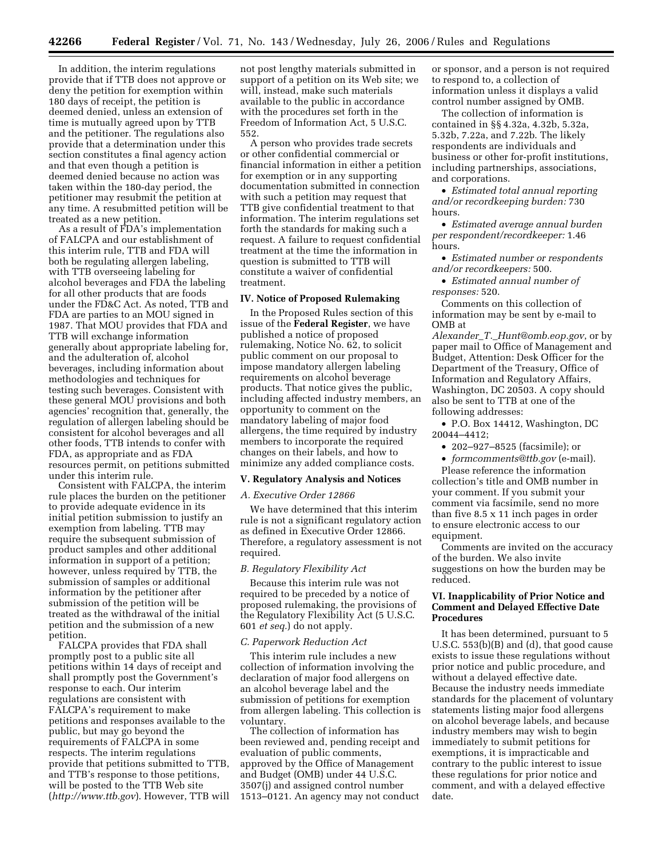In addition, the interim regulations provide that if TTB does not approve or deny the petition for exemption within 180 days of receipt, the petition is deemed denied, unless an extension of time is mutually agreed upon by TTB and the petitioner. The regulations also provide that a determination under this section constitutes a final agency action and that even though a petition is deemed denied because no action was taken within the 180-day period, the petitioner may resubmit the petition at any time. A resubmitted petition will be treated as a new petition.

As a result of FDA's implementation of FALCPA and our establishment of this interim rule, TTB and FDA will both be regulating allergen labeling, with TTB overseeing labeling for alcohol beverages and FDA the labeling for all other products that are foods under the FD&C Act. As noted, TTB and FDA are parties to an MOU signed in 1987. That MOU provides that FDA and TTB will exchange information generally about appropriate labeling for, and the adulteration of, alcohol beverages, including information about methodologies and techniques for testing such beverages. Consistent with these general MOU provisions and both agencies' recognition that, generally, the regulation of allergen labeling should be consistent for alcohol beverages and all other foods, TTB intends to confer with FDA, as appropriate and as FDA resources permit, on petitions submitted under this interim rule.

Consistent with FALCPA, the interim rule places the burden on the petitioner to provide adequate evidence in its initial petition submission to justify an exemption from labeling. TTB may require the subsequent submission of product samples and other additional information in support of a petition; however, unless required by TTB, the submission of samples or additional information by the petitioner after submission of the petition will be treated as the withdrawal of the initial petition and the submission of a new petition.

FALCPA provides that FDA shall promptly post to a public site all petitions within 14 days of receipt and shall promptly post the Government's response to each. Our interim regulations are consistent with FALCPA's requirement to make petitions and responses available to the public, but may go beyond the requirements of FALCPA in some respects. The interim regulations provide that petitions submitted to TTB, and TTB's response to those petitions, will be posted to the TTB Web site (*http://www.ttb.gov*). However, TTB will

not post lengthy materials submitted in support of a petition on its Web site; we will, instead, make such materials available to the public in accordance with the procedures set forth in the Freedom of Information Act, 5 U.S.C. 552.

A person who provides trade secrets or other confidential commercial or financial information in either a petition for exemption or in any supporting documentation submitted in connection with such a petition may request that TTB give confidential treatment to that information. The interim regulations set forth the standards for making such a request. A failure to request confidential treatment at the time the information in question is submitted to TTB will constitute a waiver of confidential treatment.

#### **IV. Notice of Proposed Rulemaking**

In the Proposed Rules section of this issue of the **Federal Register**, we have published a notice of proposed rulemaking, Notice No. 62, to solicit public comment on our proposal to impose mandatory allergen labeling requirements on alcohol beverage products. That notice gives the public, including affected industry members, an opportunity to comment on the mandatory labeling of major food allergens, the time required by industry members to incorporate the required changes on their labels, and how to minimize any added compliance costs.

#### **V. Regulatory Analysis and Notices**

#### *A. Executive Order 12866*

We have determined that this interim rule is not a significant regulatory action as defined in Executive Order 12866. Therefore, a regulatory assessment is not required.

### *B. Regulatory Flexibility Act*

Because this interim rule was not required to be preceded by a notice of proposed rulemaking, the provisions of the Regulatory Flexibility Act (5 U.S.C. 601 *et seq.*) do not apply.

### *C. Paperwork Reduction Act*

This interim rule includes a new collection of information involving the declaration of major food allergens on an alcohol beverage label and the submission of petitions for exemption from allergen labeling. This collection is voluntary.

The collection of information has been reviewed and, pending receipt and evaluation of public comments, approved by the Office of Management and Budget (OMB) under 44 U.S.C. 3507(j) and assigned control number 1513–0121. An agency may not conduct

or sponsor, and a person is not required to respond to, a collection of information unless it displays a valid control number assigned by OMB.

The collection of information is contained in §§ 4.32a, 4.32b, 5.32a, 5.32b, 7.22a, and 7.22b. The likely respondents are individuals and business or other for-profit institutions, including partnerships, associations, and corporations.

• *Estimated total annual reporting and/or recordkeeping burden:* 730 hours.

• *Estimated average annual burden per respondent/recordkeeper:* 1.46 hours.

• *Estimated number or respondents and/or recordkeepers:* 500.

• *Estimated annual number of responses:* 520.

Comments on this collection of information may be sent by e-mail to OMB at

*Alexander*\_*T.*\_*Hunt@omb.eop.gov*, or by paper mail to Office of Management and Budget, Attention: Desk Officer for the Department of the Treasury, Office of Information and Regulatory Affairs, Washington, DC 20503. A copy should also be sent to TTB at one of the following addresses:

• P.O. Box 14412, Washington, DC 20044–4412;

• 202–927–8525 (facsimile); or

• *formcomments@ttb.gov* (e-mail).

Please reference the information collection's title and OMB number in your comment. If you submit your comment via facsimile, send no more than five 8.5 x 11 inch pages in order to ensure electronic access to our equipment.

Comments are invited on the accuracy of the burden. We also invite suggestions on how the burden may be reduced.

### **VI. Inapplicability of Prior Notice and Comment and Delayed Effective Date Procedures**

It has been determined, pursuant to 5 U.S.C. 553(b)(B) and (d), that good cause exists to issue these regulations without prior notice and public procedure, and without a delayed effective date. Because the industry needs immediate standards for the placement of voluntary statements listing major food allergens on alcohol beverage labels, and because industry members may wish to begin immediately to submit petitions for exemptions, it is impracticable and contrary to the public interest to issue these regulations for prior notice and comment, and with a delayed effective date.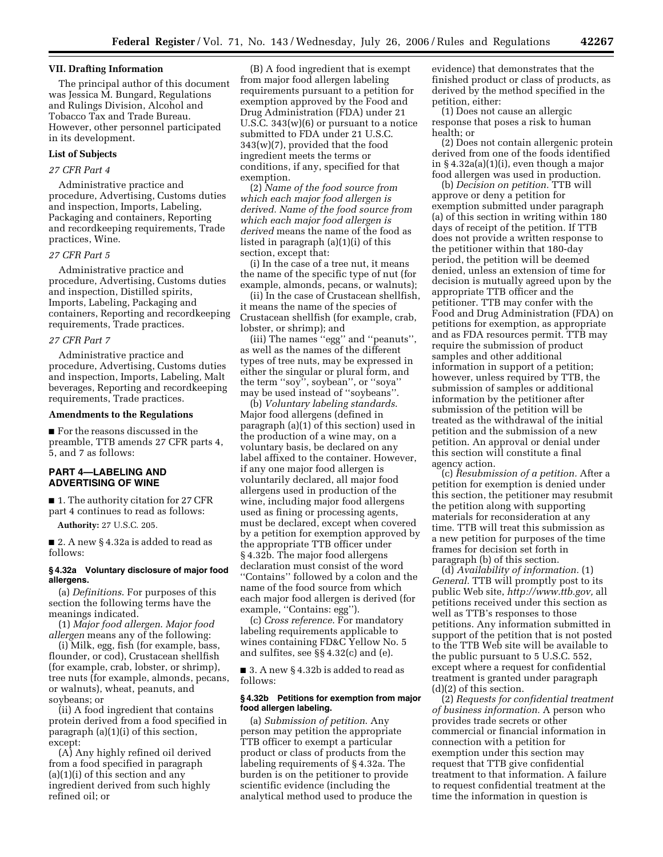### **VII. Drafting Information**

The principal author of this document was Jessica M. Bungard, Regulations and Rulings Division, Alcohol and Tobacco Tax and Trade Bureau. However, other personnel participated in its development.

## **List of Subjects**

### *27 CFR Part 4*

Administrative practice and procedure, Advertising, Customs duties and inspection, Imports, Labeling, Packaging and containers, Reporting and recordkeeping requirements, Trade practices, Wine.

### *27 CFR Part 5*

Administrative practice and procedure, Advertising, Customs duties and inspection, Distilled spirits, Imports, Labeling, Packaging and containers, Reporting and recordkeeping requirements, Trade practices.

### *27 CFR Part 7*

Administrative practice and procedure, Advertising, Customs duties and inspection, Imports, Labeling, Malt beverages, Reporting and recordkeeping requirements, Trade practices.

### **Amendments to the Regulations**

■ For the reasons discussed in the preamble, TTB amends 27 CFR parts 4, 5, and 7 as follows:

## **PART 4—LABELING AND ADVERTISING OF WINE**

■ 1. The authority citation for 27 CFR part 4 continues to read as follows:

**Authority:** 27 U.S.C. 205.

■ 2. A new § 4.32a is added to read as follows:

### **§ 4.32a Voluntary disclosure of major food allergens.**

(a) *Definitions*. For purposes of this section the following terms have the meanings indicated.

(1) *Major food allergen*. *Major food allergen* means any of the following:

(i) Milk, egg, fish (for example, bass, flounder, or cod), Crustacean shellfish (for example, crab, lobster, or shrimp), tree nuts (for example, almonds, pecans, or walnuts), wheat, peanuts, and soybeans; or

(ii) A food ingredient that contains protein derived from a food specified in paragraph (a)(1)(i) of this section, except:

(A) Any highly refined oil derived from a food specified in paragraph (a)(1)(i) of this section and any ingredient derived from such highly refined oil; or

(B) A food ingredient that is exempt from major food allergen labeling requirements pursuant to a petition for exemption approved by the Food and Drug Administration (FDA) under 21 U.S.C. 343(w)(6) or pursuant to a notice submitted to FDA under 21 U.S.C. 343(w)(7), provided that the food ingredient meets the terms or conditions, if any, specified for that exemption.

(2) *Name of the food source from which each major food allergen is derived. Name of the food source from which each major food allergen is derived* means the name of the food as listed in paragraph (a)(1)(i) of this section, except that:

(i) In the case of a tree nut, it means the name of the specific type of nut (for example, almonds, pecans, or walnuts);

(ii) In the case of Crustacean shellfish, it means the name of the species of Crustacean shellfish (for example, crab, lobster, or shrimp); and

(iii) The names ''egg'' and ''peanuts'', as well as the names of the different types of tree nuts, may be expressed in either the singular or plural form, and the term ''soy'', soybean'', or ''soya'' may be used instead of ''soybeans''.

(b) *Voluntary labeling standards*. Major food allergens (defined in paragraph (a)(1) of this section) used in the production of a wine may, on a voluntary basis, be declared on any label affixed to the container. However, if any one major food allergen is voluntarily declared, all major food allergens used in production of the wine, including major food allergens used as fining or processing agents, must be declared, except when covered by a petition for exemption approved by the appropriate TTB officer under § 4.32b. The major food allergens declaration must consist of the word ''Contains'' followed by a colon and the name of the food source from which each major food allergen is derived (for example, "Contains: egg").

(c) *Cross reference*. For mandatory labeling requirements applicable to wines containing FD&C Yellow No. 5 and sulfites, see §§ 4.32(c) and (e).

■ 3. A new § 4.32b is added to read as follows:

### **§ 4.32b Petitions for exemption from major food allergen labeling.**

(a) *Submission of petition*. Any person may petition the appropriate TTB officer to exempt a particular product or class of products from the labeling requirements of § 4.32a. The burden is on the petitioner to provide scientific evidence (including the analytical method used to produce the evidence) that demonstrates that the finished product or class of products, as derived by the method specified in the petition, either:

(1) Does not cause an allergic response that poses a risk to human health; or

(2) Does not contain allergenic protein derived from one of the foods identified in § 4.32a(a)(1)(i), even though a major food allergen was used in production.

(b) *Decision on petition.* TTB will approve or deny a petition for exemption submitted under paragraph (a) of this section in writing within 180 days of receipt of the petition. If TTB does not provide a written response to the petitioner within that 180-day period, the petition will be deemed denied, unless an extension of time for decision is mutually agreed upon by the appropriate TTB officer and the petitioner. TTB may confer with the Food and Drug Administration (FDA) on petitions for exemption, as appropriate and as FDA resources permit. TTB may require the submission of product samples and other additional information in support of a petition; however, unless required by TTB, the submission of samples or additional information by the petitioner after submission of the petition will be treated as the withdrawal of the initial petition and the submission of a new petition. An approval or denial under this section will constitute a final agency action.

(c) *Resubmission of a petition.* After a petition for exemption is denied under this section, the petitioner may resubmit the petition along with supporting materials for reconsideration at any time. TTB will treat this submission as a new petition for purposes of the time frames for decision set forth in paragraph (b) of this section.

(d) *Availability of information.* (1) *General.* TTB will promptly post to its public Web site, *http://www.ttb.gov,* all petitions received under this section as well as TTB's responses to those petitions. Any information submitted in support of the petition that is not posted to the TTB Web site will be available to the public pursuant to 5 U.S.C. 552, except where a request for confidential treatment is granted under paragraph (d)(2) of this section.

(2) *Requests for confidential treatment of business information.* A person who provides trade secrets or other commercial or financial information in connection with a petition for exemption under this section may request that TTB give confidential treatment to that information. A failure to request confidential treatment at the time the information in question is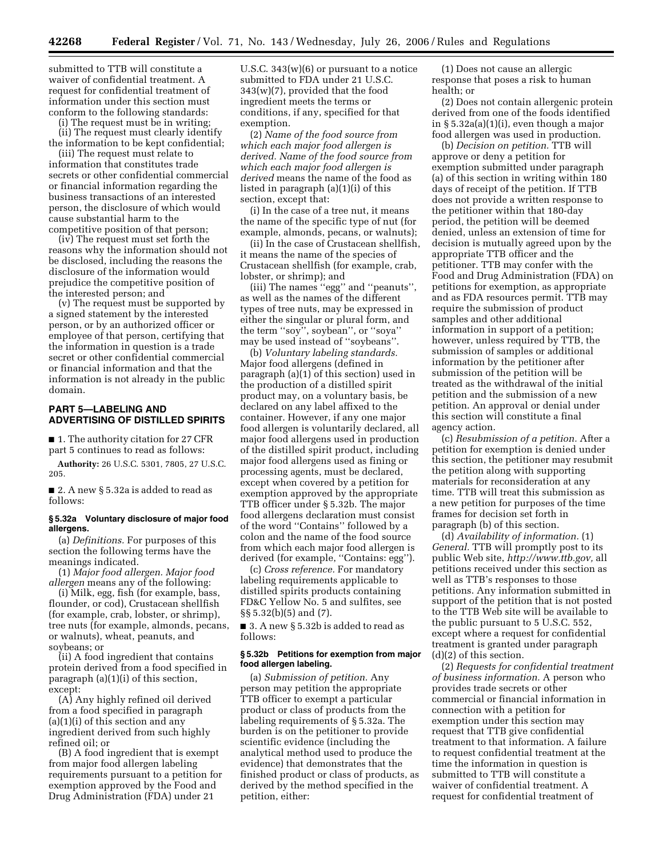submitted to TTB will constitute a waiver of confidential treatment. A request for confidential treatment of information under this section must conform to the following standards:

(i) The request must be in writing;

(ii) The request must clearly identify the information to be kept confidential;

(iii) The request must relate to information that constitutes trade secrets or other confidential commercial or financial information regarding the business transactions of an interested person, the disclosure of which would cause substantial harm to the competitive position of that person;

(iv) The request must set forth the reasons why the information should not be disclosed, including the reasons the disclosure of the information would prejudice the competitive position of the interested person; and

(v) The request must be supported by a signed statement by the interested person, or by an authorized officer or employee of that person, certifying that the information in question is a trade secret or other confidential commercial or financial information and that the information is not already in the public domain.

### **PART 5—LABELING AND ADVERTISING OF DISTILLED SPIRITS**

■ 1. The authority citation for 27 CFR part 5 continues to read as follows:

**Authority:** 26 U.S.C. 5301, 7805, 27 U.S.C. 205.

■ 2. A new § 5.32a is added to read as follows:

### **§ 5.32a Voluntary disclosure of major food allergens.**

(a) *Definitions.* For purposes of this section the following terms have the meanings indicated.

(1) *Major food allergen. Major food allergen* means any of the following:

(i) Milk, egg, fish (for example, bass, flounder, or cod), Crustacean shellfish (for example, crab, lobster, or shrimp), tree nuts (for example, almonds, pecans, or walnuts), wheat, peanuts, and soybeans; or

(ii) A food ingredient that contains protein derived from a food specified in paragraph (a)(1)(i) of this section, except:

(A) Any highly refined oil derived from a food specified in paragraph (a)(1)(i) of this section and any ingredient derived from such highly refined oil; or

(B) A food ingredient that is exempt from major food allergen labeling requirements pursuant to a petition for exemption approved by the Food and Drug Administration (FDA) under 21

U.S.C. 343(w)(6) or pursuant to a notice submitted to FDA under 21 U.S.C. 343(w)(7), provided that the food ingredient meets the terms or conditions, if any, specified for that exemption.

(2) *Name of the food source from which each major food allergen is derived. Name of the food source from which each major food allergen is derived* means the name of the food as listed in paragraph (a)(1)(i) of this section, except that:

(i) In the case of a tree nut, it means the name of the specific type of nut (for example, almonds, pecans, or walnuts);

(ii) In the case of Crustacean shellfish, it means the name of the species of Crustacean shellfish (for example, crab, lobster, or shrimp); and

(iii) The names ''egg'' and ''peanuts'', as well as the names of the different types of tree nuts, may be expressed in either the singular or plural form, and the term ''soy'', soybean'', or ''soya'' may be used instead of ''soybeans''.

(b) *Voluntary labeling standards.*  Major food allergens (defined in paragraph (a)(1) of this section) used in the production of a distilled spirit product may, on a voluntary basis, be declared on any label affixed to the container. However, if any one major food allergen is voluntarily declared, all major food allergens used in production of the distilled spirit product, including major food allergens used as fining or processing agents, must be declared, except when covered by a petition for exemption approved by the appropriate TTB officer under § 5.32b. The major food allergens declaration must consist of the word ''Contains'' followed by a colon and the name of the food source from which each major food allergen is derived (for example, ''Contains: egg'').

(c) *Cross reference.* For mandatory labeling requirements applicable to distilled spirits products containing FD&C Yellow No. 5 and sulfites, see §§ 5.32(b)(5) and (7).

■ 3. A new § 5.32b is added to read as follows:

### **§ 5.32b Petitions for exemption from major food allergen labeling.**

(a) *Submission of petition.* Any person may petition the appropriate TTB officer to exempt a particular product or class of products from the labeling requirements of § 5.32a. The burden is on the petitioner to provide scientific evidence (including the analytical method used to produce the evidence) that demonstrates that the finished product or class of products, as derived by the method specified in the petition, either:

(1) Does not cause an allergic response that poses a risk to human health; or

(2) Does not contain allergenic protein derived from one of the foods identified in § 5.32a(a)(1)(i), even though a major food allergen was used in production.

(b) *Decision on petition.* TTB will approve or deny a petition for exemption submitted under paragraph (a) of this section in writing within 180 days of receipt of the petition. If TTB does not provide a written response to the petitioner within that 180-day period, the petition will be deemed denied, unless an extension of time for decision is mutually agreed upon by the appropriate TTB officer and the petitioner. TTB may confer with the Food and Drug Administration (FDA) on petitions for exemption, as appropriate and as FDA resources permit. TTB may require the submission of product samples and other additional information in support of a petition; however, unless required by TTB, the submission of samples or additional information by the petitioner after submission of the petition will be treated as the withdrawal of the initial petition and the submission of a new petition. An approval or denial under this section will constitute a final agency action.

(c) *Resubmission of a petition.* After a petition for exemption is denied under this section, the petitioner may resubmit the petition along with supporting materials for reconsideration at any time. TTB will treat this submission as a new petition for purposes of the time frames for decision set forth in paragraph (b) of this section.

(d) *Availability of information.* (1) *General.* TTB will promptly post to its public Web site, *http://www.ttb.gov,* all petitions received under this section as well as TTB's responses to those petitions. Any information submitted in support of the petition that is not posted to the TTB Web site will be available to the public pursuant to 5 U.S.C. 552, except where a request for confidential treatment is granted under paragraph (d)(2) of this section.

(2) *Requests for confidential treatment of business information.* A person who provides trade secrets or other commercial or financial information in connection with a petition for exemption under this section may request that TTB give confidential treatment to that information. A failure to request confidential treatment at the time the information in question is submitted to TTB will constitute a waiver of confidential treatment. A request for confidential treatment of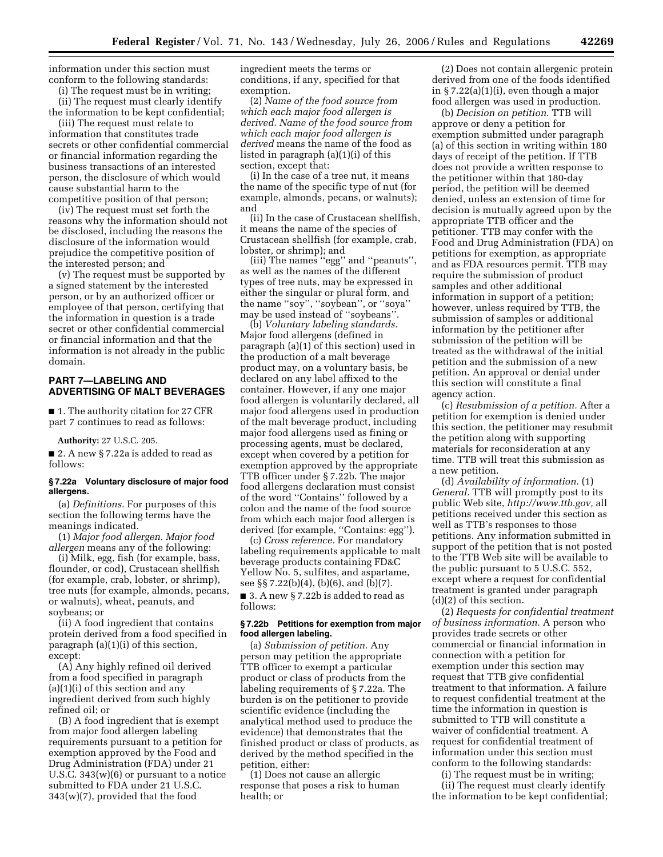information under this section must conform to the following standards:

(i) The request must be in writing;

(ii) The request must clearly identify the information to be kept confidential;

(iii) The request must relate to information that constitutes trade secrets or other confidential commercial or financial information regarding the business transactions of an interested person, the disclosure of which would cause substantial harm to the competitive position of that person;

(iv) The request must set forth the reasons why the information should not be disclosed, including the reasons the disclosure of the information would prejudice the competitive position of the interested person; and

(v) The request must be supported by a signed statement by the interested person, or by an authorized officer or employee of that person, certifying that the information in question is a trade secret or other confidential commercial or financial information and that the information is not already in the public domain.

## **PART 7—LABELING AND ADVERTISING OF MALT BEVERAGES**

■ 1. The authority citation for 27 CFR part 7 continues to read as follows:

**Authority:** 27 U.S.C. 205.

■ 2. A new § 7.22a is added to read as follows:

#### **§ 7.22a Voluntary disclosure of major food allergens.**

(a) *Definitions.* For purposes of this section the following terms have the meanings indicated.

(1) *Major food allergen. Major food allergen* means any of the following:

(i) Milk, egg, fish (for example, bass, flounder, or cod), Crustacean shellfish (for example, crab, lobster, or shrimp), tree nuts (for example, almonds, pecans, or walnuts), wheat, peanuts, and soybeans; or

(ii) A food ingredient that contains protein derived from a food specified in paragraph (a)(1)(i) of this section, except:

(A) Any highly refined oil derived from a food specified in paragraph  $(a)(1)(i)$  of this section and any ingredient derived from such highly refined oil; or

(B) A food ingredient that is exempt from major food allergen labeling requirements pursuant to a petition for exemption approved by the Food and Drug Administration (FDA) under 21 U.S.C. 343(w)(6) or pursuant to a notice submitted to FDA under 21 U.S.C. 343(w)(7), provided that the food

ingredient meets the terms or conditions, if any, specified for that exemption.

(2) *Name of the food source from which each major food allergen is derived. Name of the food source from which each major food allergen is derived* means the name of the food as listed in paragraph (a)(1)(i) of this section, except that:

(i) In the case of a tree nut, it means the name of the specific type of nut (for example, almonds, pecans, or walnuts); and

(ii) In the case of Crustacean shellfish, it means the name of the species of Crustacean shellfish (for example, crab, lobster, or shrimp); and

(iii) The names ''egg'' and ''peanuts'', as well as the names of the different types of tree nuts, may be expressed in either the singular or plural form, and the name ''soy'', ''soybean'', or ''soya'' may be used instead of ''soybeans''.

(b) *Voluntary labeling standards.*  Major food allergens (defined in paragraph (a)(1) of this section) used in the production of a malt beverage product may, on a voluntary basis, be declared on any label affixed to the container. However, if any one major food allergen is voluntarily declared, all major food allergens used in production of the malt beverage product, including major food allergens used as fining or processing agents, must be declared, except when covered by a petition for exemption approved by the appropriate TTB officer under § 7.22b. The major food allergens declaration must consist of the word ''Contains'' followed by a colon and the name of the food source from which each major food allergen is derived (for example, ''Contains: egg'').

(c) *Cross reference.* For mandatory labeling requirements applicable to malt beverage products containing FD&C Yellow No. 5, sulfites, and aspartame, see §§ 7.22(b)(4), (b)(6), and (b)(7). ■ 3. A new § 7.22b is added to read as

follows:

### **§ 7.22b Petitions for exemption from major food allergen labeling.**

(a) *Submission of petition.* Any person may petition the appropriate TTB officer to exempt a particular product or class of products from the labeling requirements of § 7.22a. The burden is on the petitioner to provide scientific evidence (including the analytical method used to produce the evidence) that demonstrates that the finished product or class of products, as derived by the method specified in the petition, either:

(1) Does not cause an allergic response that poses a risk to human health; or

(2) Does not contain allergenic protein derived from one of the foods identified in § 7.22(a)(1)(i), even though a major food allergen was used in production.

(b) *Decision on petition.* TTB will approve or deny a petition for exemption submitted under paragraph (a) of this section in writing within 180 days of receipt of the petition. If TTB does not provide a written response to the petitioner within that 180-day period, the petition will be deemed denied, unless an extension of time for decision is mutually agreed upon by the appropriate TTB officer and the petitioner. TTB may confer with the Food and Drug Administration (FDA) on petitions for exemption, as appropriate and as FDA resources permit. TTB may require the submission of product samples and other additional information in support of a petition; however, unless required by TTB, the submission of samples or additional information by the petitioner after submission of the petition will be treated as the withdrawal of the initial petition and the submission of a new petition. An approval or denial under this section will constitute a final agency action.

(c) *Resubmission of a petition.* After a petition for exemption is denied under this section, the petitioner may resubmit the petition along with supporting materials for reconsideration at any time. TTB will treat this submission as a new petition.

(d) *Availability of information.* (1) *General.* TTB will promptly post to its public Web site, *http://www.ttb.gov,* all petitions received under this section as well as TTB's responses to those petitions. Any information submitted in support of the petition that is not posted to the TTB Web site will be available to the public pursuant to 5 U.S.C. 552, except where a request for confidential treatment is granted under paragraph (d)(2) of this section.

(2) *Requests for confidential treatment of business information.* A person who provides trade secrets or other commercial or financial information in connection with a petition for exemption under this section may request that TTB give confidential treatment to that information. A failure to request confidential treatment at the time the information in question is submitted to TTB will constitute a waiver of confidential treatment. A request for confidential treatment of information under this section must conform to the following standards:

(i) The request must be in writing; (ii) The request must clearly identify the information to be kept confidential;